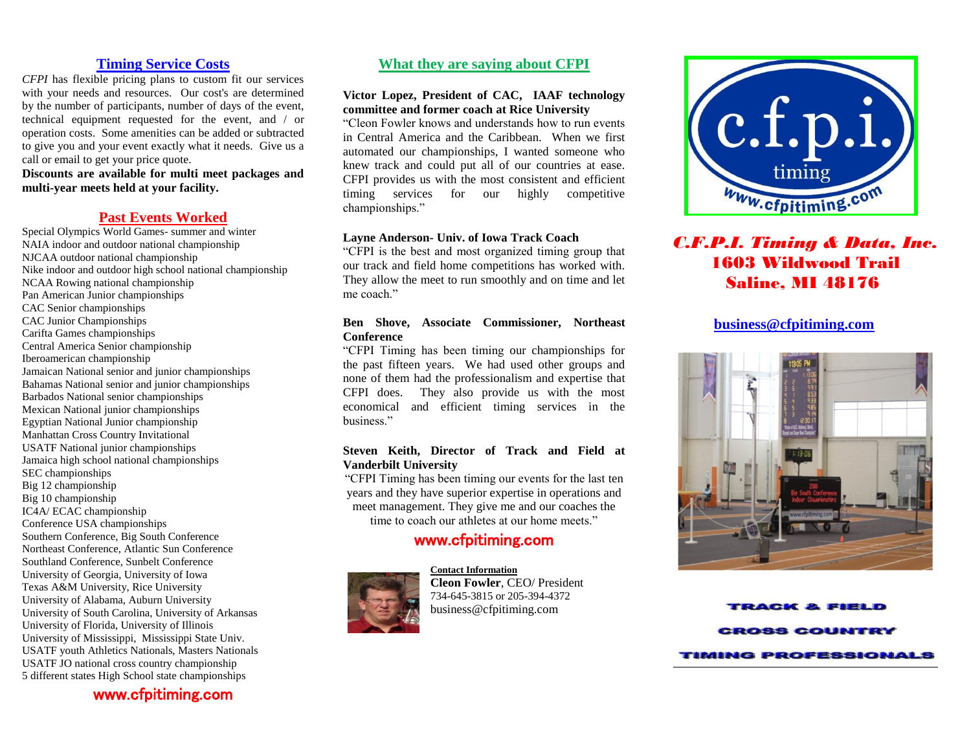## **Timing Service Costs**

*CFPI* has flexible pricing plans to custom fit our services with your needs and resources. Our cost's are determined by the number of participants, number of days of the event, technical equipment requested for the event, and / or operation costs. Some amenities can be added or subtracted to give you and your event exactly what it needs. Give us a call or email to get your price quote.

**Discounts are available for multi meet packages and multi-year meets held at your facility.**

### **Past Events Worked**

Special Olympics World Games- summer and winter NAIA indoor and outdoor national championship NJCAA outdoor national championship Nike indoor and outdoor high school national championship NCAA Rowing national championship Pan American Junior championships CAC Senior championships CAC Junior Championships Carifta Games championships Central America Senior championship Iberoamerican championship Jamaican National senior and junior championships Bahamas National senior and junior championships Barbados National senior championships Mexican National junior championships Egyptian National Junior championship Manhattan Cross Country Invitational USATF National junior championships Jamaica high school national championships SEC championships Big 12 championship Big 10 championship IC4A/ ECAC championship Conference USA championships Southern Conference, Big South Conference Northeast Conference, Atlantic Sun Conference Southland Conference, Sunbelt Conference University of Georgia, University of Iowa Texas A&M University, Rice University University of Alabama, Auburn University University of South Carolina, University of Arkansas University of Florida, University of Illinois University of Mississippi, Mississippi State Univ. USATF youth Athletics Nationals, Masters Nationals USATF JO national cross country championship 5 different states High School state championships

www.cfpitiming.com

## **What they are saying about CFPI**

#### **Victor Lopez, President of CAC, IAAF technology committee and former coach at Rice University**

"Cleon Fowler knows and understands how to run events in Central America and the Caribbean. When we first automated our championships, I wanted someone who knew track and could put all of our countries at ease. CFPI provides us with the most consistent and efficient timing services for our highly competitive championships."

#### **Layne Anderson- Univ. of Iowa Track Coach**

"CFPI is the best and most organized timing group that our track and field home competitions has worked with. They allow the meet to run smoothly and on time and let me coach"

#### **Ben Shove, Associate Commissioner, Northeast Conference**

"CFPI Timing has been timing our championships for the past fifteen years. We had used other groups and none of them had the professionalism and expertise that CFPI does. They also provide us with the most economical and efficient timing services in the business."

#### **Steven Keith, Director of Track and Field at Vanderbilt University**

"CFPI Timing has been timing our events for the last ten years and they have superior expertise in operations and meet management. They give me and our coaches the time to coach our athletes at our home meets."

## www.cfpitiming.com



**Contact Information Cleon Fowler**, CEO/ President 734-645-3815 or 205-394-4372 business@cfpitiming.com



# *C.F.P.I. Timing & Data, Inc.* 1603 Wildwood Trail Saline, MI 48176

### **[business@cfpitiming.com](mailto:business@cfpitiming.com)**



**RACK & FIEL ROSS COUNTE TIMING PROFESSIONALS**